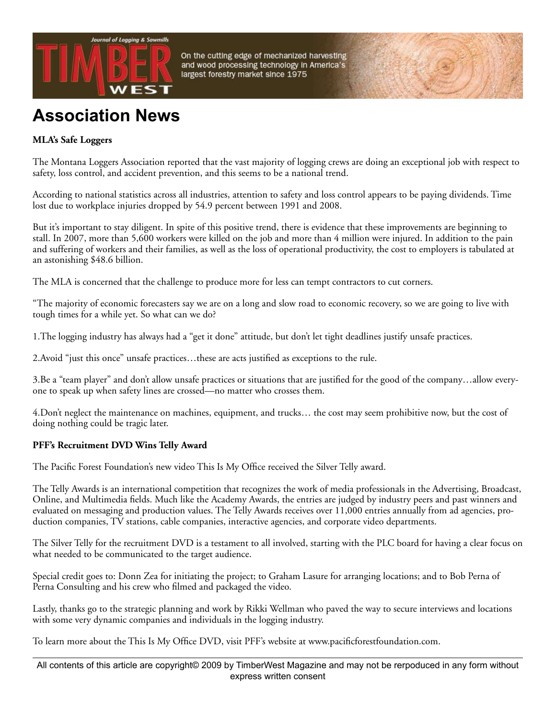

**Association News**

## **MLA's Safe Loggers**

The Montana Loggers Association reported that the vast majority of logging crews are doing an exceptional job with respect to safety, loss control, and accident prevention, and this seems to be a national trend.

On the cutting edge of mechanized harvesting and wood processing technology in America's

largest forestry market since 1975

According to national statistics across all industries, attention to safety and loss control appears to be paying dividends. Time lost due to workplace injuries dropped by 54.9 percent between 1991 and 2008.

But it's important to stay diligent. In spite of this positive trend, there is evidence that these improvements are beginning to stall. In 2007, more than 5,600 workers were killed on the job and more than 4 million were injured. In addition to the pain and suffering of workers and their families, as well as the loss of operational productivity, the cost to employers is tabulated at an astonishing \$48.6 billion.

The MLA is concerned that the challenge to produce more for less can tempt contractors to cut corners.

"The majority of economic forecasters say we are on a long and slow road to economic recovery, so we are going to live with tough times for a while yet. So what can we do?

1.The logging industry has always had a "get it done" attitude, but don't let tight deadlines justify unsafe practices.

2.Avoid "just this once" unsafe practices…these are acts justified as exceptions to the rule.

3.Be a "team player" and don't allow unsafe practices or situations that are justified for the good of the company…allow everyone to speak up when safety lines are crossed—no matter who crosses them.

4.Don't neglect the maintenance on machines, equipment, and trucks… the cost may seem prohibitive now, but the cost of doing nothing could be tragic later.

## **PFF's Recruitment DVD Wins Telly Award**

The Pacific Forest Foundation's new video This Is My Office received the Silver Telly award.

The Telly Awards is an international competition that recognizes the work of media professionals in the Advertising, Broadcast, Online, and Multimedia fields. Much like the Academy Awards, the entries are judged by industry peers and past winners and evaluated on messaging and production values. The Telly Awards receives over 11,000 entries annually from ad agencies, production companies, TV stations, cable companies, interactive agencies, and corporate video departments.

The Silver Telly for the recruitment DVD is a testament to all involved, starting with the PLC board for having a clear focus on what needed to be communicated to the target audience.

Special credit goes to: Donn Zea for initiating the project; to Graham Lasure for arranging locations; and to Bob Perna of Perna Consulting and his crew who filmed and packaged the video.

Lastly, thanks go to the strategic planning and work by Rikki Wellman who paved the way to secure interviews and locations with some very dynamic companies and individuals in the logging industry.

To learn more about the This Is My Office DVD, visit PFF's website at www.pacificforestfoundation.com.